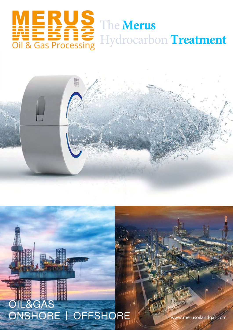



# $-8GA$ ONSHORE | OFFSHORE

www.merusoilandgas.com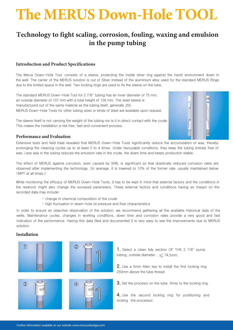# **The MERUS Down-Hole TOOL**

### **Technology to fight scaling, corrosion, fouling, waxing and emulsion in the pump tubing**

#### **Introduction and Product Specifications**

The Merus Down-Hole Tool consists of a sleeve, protecting the inside silver ring against the harsh environment down in the well. The carrier of the MERUS solution is out of Silver instead of the aluminium alloy used for the standard MERUS Rings due to the limited space in the well. Two locking rings are used to fix the sleeve on the tube.

The standard MERUS Down-Hole Tool for 2 7/8'' tubing has an inner diameter of 75 mm, an outside diameter of 107 mm with a total height of 126 mm. The steel sleeve is manufactured out of the same material as the tubing itself, generally J55. MERUS Down-Hole Tools for other tubing sizes or kinds of steel are available upon request.

The sleeve itself is not carrying the weight of the tubing nor is it in direct contact with the crude. This makes the installation a risk free, fast and convenient process.



#### **Performance and Evaluation**

Extensive tests and field trials revealed that MERUS Down-Hole Tools significantly reduce the accumulation of wax, thereby prolonging the cleaning cycles up to at least 2 to 4 times. Under favourable conditions, they keep the tubing entirely free of wax. Less wax in the tubing reduces the emulsion rate in the crude, the down time and keeps production stable.

The effect of MERUS against corrosion, even caused by SRB, is significant so that drastically reduced corrosion rates are observed after implementing the technology. (In average, it is lowered to 10% of the former rate, usually maintained below 1MPY at all times.)

While monitoring the efficacy of MERUS Down-Hole Tools, it has to be kept in mind that external factors and the conditions in the reservoir might also change the surveyed parameters. These external factors and conditions having an impact on the recorded data may include:

- change in chemical composition of the crude
- high fluctuation in down-hole oil pressure and flow characteristics

In order to ensure an objective observation of the solution, we recommend gathering all the available historical data of the wells. Maintenance cycles. changes in working conditions, down time and corrosion rates provide a very good and fast indication of the performance. Having this data filed and documented it is very easy to see the improvements due to MERUS solution.

#### **Installation**









1. Select a clean tidy section OF THE 2 7/8" pump tubing, outside diameter,  $\leq 74,5$ mm.

2. Use a 5mm Allen key to install the first locking ring 250mm above the tube thread.

3. Set the procesor on the tube, firmly to the locking ring.

4. Use the second locking ring for positioning and locking the processor.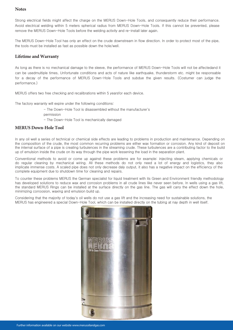#### **Notes**

Strong electrical fields might affect the charge on the MERUS Down-Hole Tools, and consequently reduce their performance. Avoid electrical welding within 5 meters spherical radius from MERUS Down-Hole Tools. If this cannot be prevented, please remove the MERUS Down-Hole Tools before the welding activity and re-install later again.

The MERUS Down-Hole Tool has only an effect on the crude downstream in flow direction. In order to protect most of the pipe, the tools must be installed as fast as possible down the hole/well.

#### **Lifetime and Warranty**

As long as there is no mechanical damage to the sleeve, the performance of MERUS Down-Hole Tools will not be affectedand it can be usedmultiple times. Unfortunate conditions and acts of nature like earthquake, thunderstorm etc. might be responsable for a decay of the performance of MERUS Down-Hole Tools and subdue the given results. (Costumer can judge the performance.)

MERUS offers two free checking and recalibrations within 5 yearsfor each device.

The factory warranty will expire under the following conditions:

- The Down-Hole Tool is disassembled without the manufacturer's
- permission
- The Down-Hole Tool is mechanically damaged

#### **MERUS Down-Hole Tool**

In any oil well a series of technical or chemical side effects are leading to problems in production and maintenance. Depending on the composition of the crude, the most common recurring problems are either wax formation or corrosion. Any kind of deposit on the internal surface of a pipe is creating turbulences in the streaming crude. These turbulences are a contributing factor to the build up of emulsion inside the crude on its way through the pipe work lessening the load in the separation plant.

Conventional methods to avoid or come up against these problems are for example: injecting steam, applying chemicals or do regular cleaning by mechanical wiring. All these methods do not only need a lot of energy and logistics, they also implicate immense costs. A scaled pipe does not only decrease daly output, it also has a negative impact on the efficiency of the complete equipment due to shutdown time for cleaning and repairs.

To counter these problems MERUS the German specialist for liquid treatment with its Green and Environment friendly methodology has developed solutions to reduce wax and corrosion problems in all crude lines like never seen before. In wells using a gas lift, the standard MERUS Rings can be installed at the surface directly on the gas line. The gas will carry the effect down the hole, minimizing corroosion, waxing and emulsion build up.

Considering that the majority of today's oil wells do not use a gas lift and the increasing need for sustainable solutions, the MERUS has engineered a special Down-Hole Tool, which can be installed directly on the tubing at nay depth in well itself.